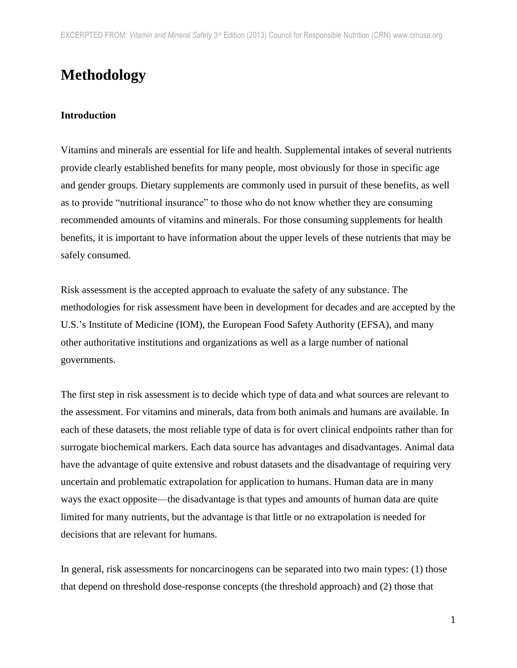# **Methodology**

## **Introduction**

Vitamins and minerals are essential for life and health. Supplemental intakes of several nutrients provide clearly established benefits for many people, most obviously for those in specific age and gender groups. Dietary supplements are commonly used in pursuit of these benefits, as well as to provide "nutritional insurance" to those who do not know whether they are consuming recommended amounts of vitamins and minerals. For those consuming supplements for health benefits, it is important to have information about the upper levels of these nutrients that may be safely consumed.

Risk assessment is the accepted approach to evaluate the safety of any substance. The methodologies for risk assessment have been in development for decades and are accepted by the U.S.'s Institute of Medicine (IOM), the European Food Safety Authority (EFSA), and many other authoritative institutions and organizations as well as a large number of national governments.

The first step in risk assessment is to decide which type of data and what sources are relevant to the assessment. For vitamins and minerals, data from both animals and humans are available. In each of these datasets, the most reliable type of data is for overt clinical endpoints rather than for surrogate biochemical markers. Each data source has advantages and disadvantages. Animal data have the advantage of quite extensive and robust datasets and the disadvantage of requiring very uncertain and problematic extrapolation for application to humans. Human data are in many ways the exact opposite—the disadvantage is that types and amounts of human data are quite limited for many nutrients, but the advantage is that little or no extrapolation is needed for decisions that are relevant for humans.

In general, risk assessments for noncarcinogens can be separated into two main types: (1) those that depend on threshold dose-response concepts (the threshold approach) and (2) those that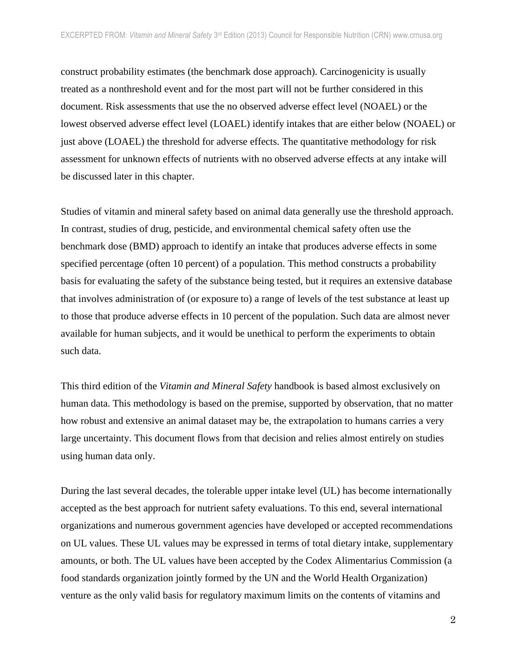construct probability estimates (the benchmark dose approach). Carcinogenicity is usually treated as a nonthreshold event and for the most part will not be further considered in this document. Risk assessments that use the no observed adverse effect level (NOAEL) or the lowest observed adverse effect level (LOAEL) identify intakes that are either below (NOAEL) or just above (LOAEL) the threshold for adverse effects. The quantitative methodology for risk assessment for unknown effects of nutrients with no observed adverse effects at any intake will be discussed later in this chapter.

Studies of vitamin and mineral safety based on animal data generally use the threshold approach. In contrast, studies of drug, pesticide, and environmental chemical safety often use the benchmark dose (BMD) approach to identify an intake that produces adverse effects in some specified percentage (often 10 percent) of a population. This method constructs a probability basis for evaluating the safety of the substance being tested, but it requires an extensive database that involves administration of (or exposure to) a range of levels of the test substance at least up to those that produce adverse effects in 10 percent of the population. Such data are almost never available for human subjects, and it would be unethical to perform the experiments to obtain such data.

This third edition of the *Vitamin and Mineral Safety* handbook is based almost exclusively on human data. This methodology is based on the premise, supported by observation, that no matter how robust and extensive an animal dataset may be, the extrapolation to humans carries a very large uncertainty. This document flows from that decision and relies almost entirely on studies using human data only.

During the last several decades, the tolerable upper intake level (UL) has become internationally accepted as the best approach for nutrient safety evaluations. To this end, several international organizations and numerous government agencies have developed or accepted recommendations on UL values. These UL values may be expressed in terms of total dietary intake, supplementary amounts, or both. The UL values have been accepted by the Codex Alimentarius Commission (a food standards organization jointly formed by the UN and the World Health Organization) venture as the only valid basis for regulatory maximum limits on the contents of vitamins and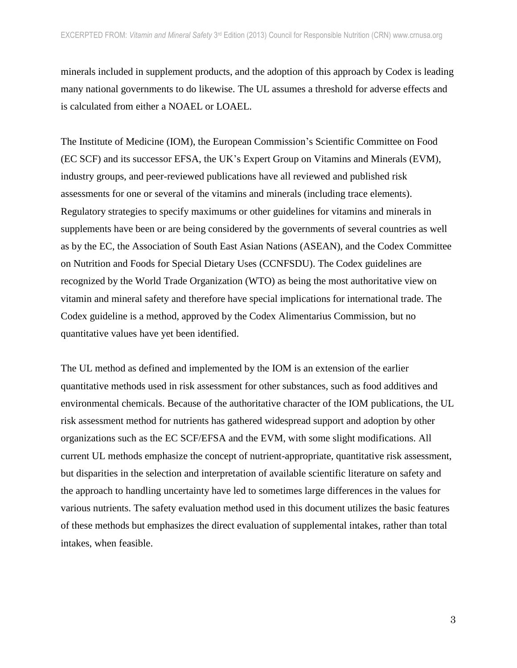minerals included in supplement products, and the adoption of this approach by Codex is leading many national governments to do likewise. The UL assumes a threshold for adverse effects and is calculated from either a NOAEL or LOAEL.

The Institute of Medicine (IOM), the European Commission's Scientific Committee on Food (EC SCF) and its successor EFSA, the UK's Expert Group on Vitamins and Minerals (EVM), industry groups, and peer-reviewed publications have all reviewed and published risk assessments for one or several of the vitamins and minerals (including trace elements). Regulatory strategies to specify maximums or other guidelines for vitamins and minerals in supplements have been or are being considered by the governments of several countries as well as by the EC, the Association of South East Asian Nations (ASEAN), and the Codex Committee on Nutrition and Foods for Special Dietary Uses (CCNFSDU). The Codex guidelines are recognized by the World Trade Organization (WTO) as being the most authoritative view on vitamin and mineral safety and therefore have special implications for international trade. The Codex guideline is a method, approved by the Codex Alimentarius Commission, but no quantitative values have yet been identified.

The UL method as defined and implemented by the IOM is an extension of the earlier quantitative methods used in risk assessment for other substances, such as food additives and environmental chemicals. Because of the authoritative character of the IOM publications, the UL risk assessment method for nutrients has gathered widespread support and adoption by other organizations such as the EC SCF/EFSA and the EVM, with some slight modifications. All current UL methods emphasize the concept of nutrient-appropriate, quantitative risk assessment, but disparities in the selection and interpretation of available scientific literature on safety and the approach to handling uncertainty have led to sometimes large differences in the values for various nutrients. The safety evaluation method used in this document utilizes the basic features of these methods but emphasizes the direct evaluation of supplemental intakes, rather than total intakes, when feasible.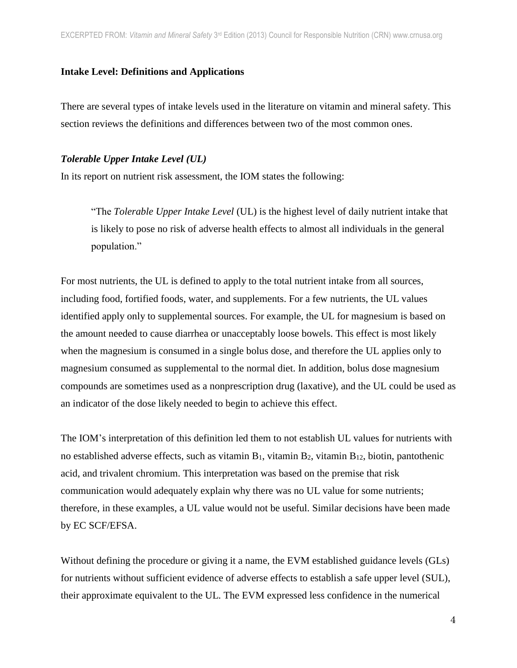## **Intake Level: Definitions and Applications**

There are several types of intake levels used in the literature on vitamin and mineral safety. This section reviews the definitions and differences between two of the most common ones.

## *Tolerable Upper Intake Level (UL)*

In its report on nutrient risk assessment, the IOM states the following:

"The *Tolerable Upper Intake Level* (UL) is the highest level of daily nutrient intake that is likely to pose no risk of adverse health effects to almost all individuals in the general population."

For most nutrients, the UL is defined to apply to the total nutrient intake from all sources, including food, fortified foods, water, and supplements. For a few nutrients, the UL values identified apply only to supplemental sources. For example, the UL for magnesium is based on the amount needed to cause diarrhea or unacceptably loose bowels. This effect is most likely when the magnesium is consumed in a single bolus dose, and therefore the UL applies only to magnesium consumed as supplemental to the normal diet. In addition, bolus dose magnesium compounds are sometimes used as a nonprescription drug (laxative), and the UL could be used as an indicator of the dose likely needed to begin to achieve this effect.

The IOM's interpretation of this definition led them to not establish UL values for nutrients with no established adverse effects, such as vitamin  $B_1$ , vitamin  $B_2$ , vitamin  $B_{12}$ , biotin, pantothenic acid, and trivalent chromium. This interpretation was based on the premise that risk communication would adequately explain why there was no UL value for some nutrients; therefore, in these examples, a UL value would not be useful. Similar decisions have been made by EC SCF/EFSA.

Without defining the procedure or giving it a name, the EVM established guidance levels (GLs) for nutrients without sufficient evidence of adverse effects to establish a safe upper level (SUL), their approximate equivalent to the UL. The EVM expressed less confidence in the numerical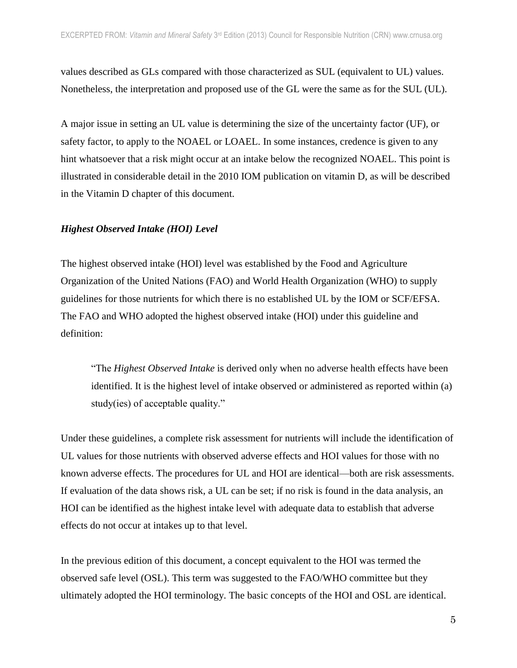values described as GLs compared with those characterized as SUL (equivalent to UL) values. Nonetheless, the interpretation and proposed use of the GL were the same as for the SUL (UL).

A major issue in setting an UL value is determining the size of the uncertainty factor (UF), or safety factor, to apply to the NOAEL or LOAEL. In some instances, credence is given to any hint whatsoever that a risk might occur at an intake below the recognized NOAEL. This point is illustrated in considerable detail in the 2010 IOM publication on vitamin D, as will be described in the Vitamin D chapter of this document.

#### *Highest Observed Intake (HOI) Level*

The highest observed intake (HOI) level was established by the Food and Agriculture Organization of the United Nations (FAO) and World Health Organization (WHO) to supply guidelines for those nutrients for which there is no established UL by the IOM or SCF/EFSA. The FAO and WHO adopted the highest observed intake (HOI) under this guideline and definition:

"The *Highest Observed Intake* is derived only when no adverse health effects have been identified. It is the highest level of intake observed or administered as reported within (a) study(ies) of acceptable quality."

Under these guidelines, a complete risk assessment for nutrients will include the identification of UL values for those nutrients with observed adverse effects and HOI values for those with no known adverse effects. The procedures for UL and HOI are identical—both are risk assessments. If evaluation of the data shows risk, a UL can be set; if no risk is found in the data analysis, an HOI can be identified as the highest intake level with adequate data to establish that adverse effects do not occur at intakes up to that level.

In the previous edition of this document, a concept equivalent to the HOI was termed the observed safe level (OSL). This term was suggested to the FAO/WHO committee but they ultimately adopted the HOI terminology. The basic concepts of the HOI and OSL are identical.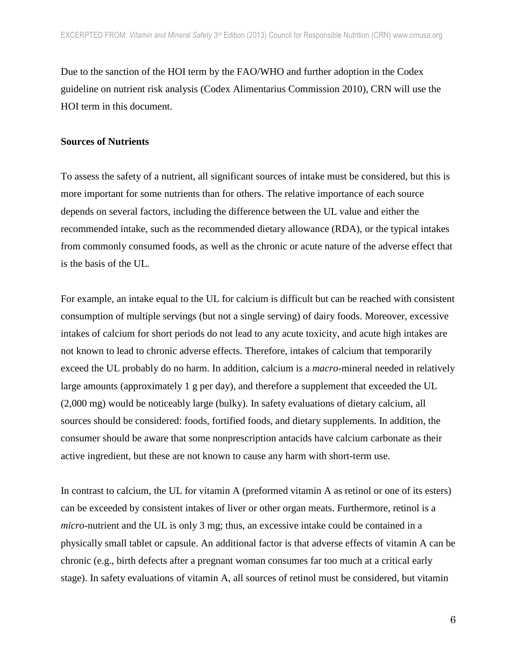Due to the sanction of the HOI term by the FAO/WHO and further adoption in the Codex guideline on nutrient risk analysis (Codex Alimentarius Commission 2010), CRN will use the HOI term in this document.

#### **Sources of Nutrients**

To assess the safety of a nutrient, all significant sources of intake must be considered, but this is more important for some nutrients than for others. The relative importance of each source depends on several factors, including the difference between the UL value and either the recommended intake, such as the recommended dietary allowance (RDA), or the typical intakes from commonly consumed foods, as well as the chronic or acute nature of the adverse effect that is the basis of the UL.

For example, an intake equal to the UL for calcium is difficult but can be reached with consistent consumption of multiple servings (but not a single serving) of dairy foods. Moreover, excessive intakes of calcium for short periods do not lead to any acute toxicity, and acute high intakes are not known to lead to chronic adverse effects. Therefore, intakes of calcium that temporarily exceed the UL probably do no harm. In addition, calcium is a *macro*-mineral needed in relatively large amounts (approximately 1 g per day), and therefore a supplement that exceeded the UL (2,000 mg) would be noticeably large (bulky). In safety evaluations of dietary calcium, all sources should be considered: foods, fortified foods, and dietary supplements. In addition, the consumer should be aware that some nonprescription antacids have calcium carbonate as their active ingredient, but these are not known to cause any harm with short-term use.

In contrast to calcium, the UL for vitamin A (preformed vitamin A as retinol or one of its esters) can be exceeded by consistent intakes of liver or other organ meats. Furthermore, retinol is a *micro*-nutrient and the UL is only 3 mg; thus, an excessive intake could be contained in a physically small tablet or capsule. An additional factor is that adverse effects of vitamin A can be chronic (e.g., birth defects after a pregnant woman consumes far too much at a critical early stage). In safety evaluations of vitamin A, all sources of retinol must be considered, but vitamin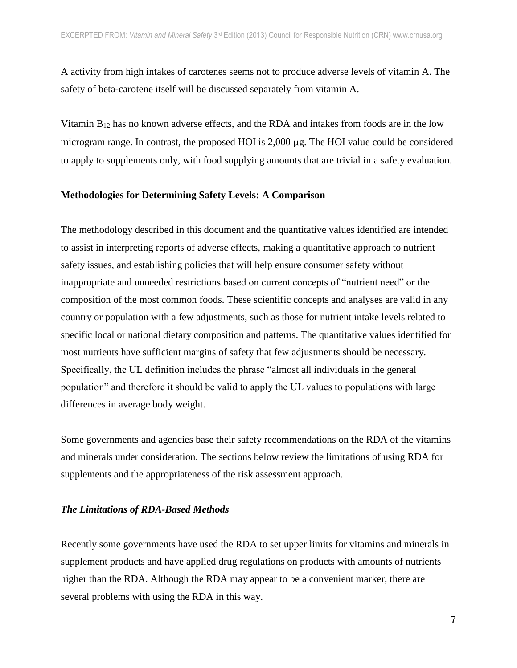A activity from high intakes of carotenes seems not to produce adverse levels of vitamin A. The safety of beta-carotene itself will be discussed separately from vitamin A.

Vitamin B<sup>12</sup> has no known adverse effects, and the RDA and intakes from foods are in the low microgram range. In contrast, the proposed HOI is  $2,000 \mu$ g. The HOI value could be considered to apply to supplements only, with food supplying amounts that are trivial in a safety evaluation.

#### **Methodologies for Determining Safety Levels: A Comparison**

The methodology described in this document and the quantitative values identified are intended to assist in interpreting reports of adverse effects, making a quantitative approach to nutrient safety issues, and establishing policies that will help ensure consumer safety without inappropriate and unneeded restrictions based on current concepts of "nutrient need" or the composition of the most common foods. These scientific concepts and analyses are valid in any country or population with a few adjustments, such as those for nutrient intake levels related to specific local or national dietary composition and patterns. The quantitative values identified for most nutrients have sufficient margins of safety that few adjustments should be necessary. Specifically, the UL definition includes the phrase "almost all individuals in the general population" and therefore it should be valid to apply the UL values to populations with large differences in average body weight.

Some governments and agencies base their safety recommendations on the RDA of the vitamins and minerals under consideration. The sections below review the limitations of using RDA for supplements and the appropriateness of the risk assessment approach.

#### *The Limitations of RDA-Based Methods*

Recently some governments have used the RDA to set upper limits for vitamins and minerals in supplement products and have applied drug regulations on products with amounts of nutrients higher than the RDA. Although the RDA may appear to be a convenient marker, there are several problems with using the RDA in this way.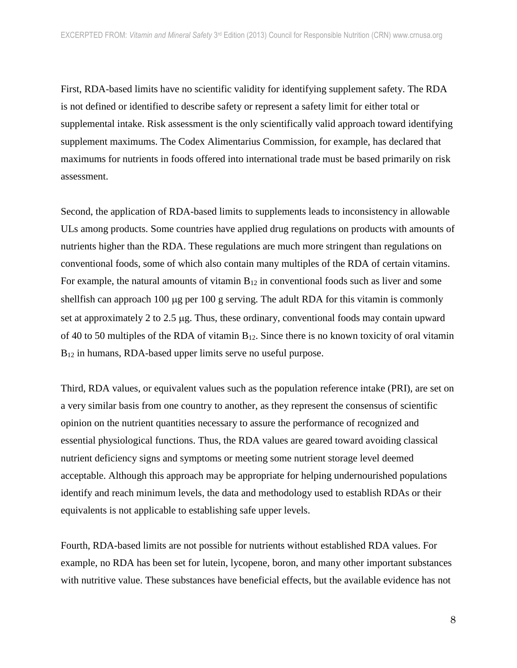First, RDA-based limits have no scientific validity for identifying supplement safety. The RDA is not defined or identified to describe safety or represent a safety limit for either total or supplemental intake. Risk assessment is the only scientifically valid approach toward identifying supplement maximums. The Codex Alimentarius Commission, for example, has declared that maximums for nutrients in foods offered into international trade must be based primarily on risk assessment.

Second, the application of RDA-based limits to supplements leads to inconsistency in allowable ULs among products. Some countries have applied drug regulations on products with amounts of nutrients higher than the RDA. These regulations are much more stringent than regulations on conventional foods, some of which also contain many multiples of the RDA of certain vitamins. For example, the natural amounts of vitamin  $B_{12}$  in conventional foods such as liver and some shellfish can approach 100  $\mu$ g per 100 g serving. The adult RDA for this vitamin is commonly set at approximately 2 to 2.5  $\mu$ g. Thus, these ordinary, conventional foods may contain upward of 40 to 50 multiples of the RDA of vitamin  $B_{12}$ . Since there is no known toxicity of oral vitamin B<sub>12</sub> in humans, RDA-based upper limits serve no useful purpose.

Third, RDA values, or equivalent values such as the population reference intake (PRI), are set on a very similar basis from one country to another, as they represent the consensus of scientific opinion on the nutrient quantities necessary to assure the performance of recognized and essential physiological functions. Thus, the RDA values are geared toward avoiding classical nutrient deficiency signs and symptoms or meeting some nutrient storage level deemed acceptable. Although this approach may be appropriate for helping undernourished populations identify and reach minimum levels, the data and methodology used to establish RDAs or their equivalents is not applicable to establishing safe upper levels.

Fourth, RDA-based limits are not possible for nutrients without established RDA values. For example, no RDA has been set for lutein, lycopene, boron, and many other important substances with nutritive value. These substances have beneficial effects, but the available evidence has not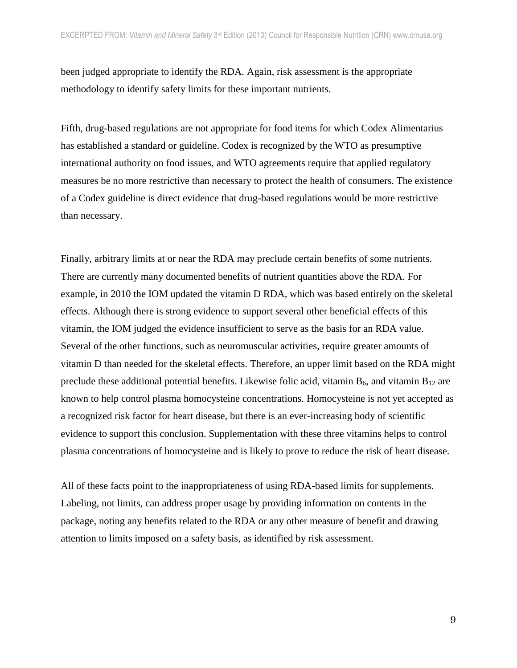been judged appropriate to identify the RDA. Again, risk assessment is the appropriate methodology to identify safety limits for these important nutrients.

Fifth, drug-based regulations are not appropriate for food items for which Codex Alimentarius has established a standard or guideline. Codex is recognized by the WTO as presumptive international authority on food issues, and WTO agreements require that applied regulatory measures be no more restrictive than necessary to protect the health of consumers. The existence of a Codex guideline is direct evidence that drug-based regulations would be more restrictive than necessary.

Finally, arbitrary limits at or near the RDA may preclude certain benefits of some nutrients. There are currently many documented benefits of nutrient quantities above the RDA. For example, in 2010 the IOM updated the vitamin D RDA, which was based entirely on the skeletal effects. Although there is strong evidence to support several other beneficial effects of this vitamin, the IOM judged the evidence insufficient to serve as the basis for an RDA value. Several of the other functions, such as neuromuscular activities, require greater amounts of vitamin D than needed for the skeletal effects. Therefore, an upper limit based on the RDA might preclude these additional potential benefits. Likewise folic acid, vitamin  $B_6$ , and vitamin  $B_{12}$  are known to help control plasma homocysteine concentrations. Homocysteine is not yet accepted as a recognized risk factor for heart disease, but there is an ever-increasing body of scientific evidence to support this conclusion. Supplementation with these three vitamins helps to control plasma concentrations of homocysteine and is likely to prove to reduce the risk of heart disease.

All of these facts point to the inappropriateness of using RDA-based limits for supplements. Labeling, not limits, can address proper usage by providing information on contents in the package, noting any benefits related to the RDA or any other measure of benefit and drawing attention to limits imposed on a safety basis, as identified by risk assessment.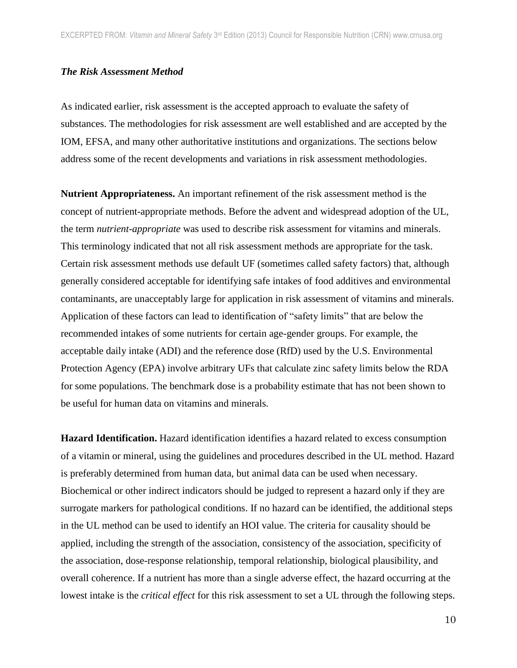#### *The Risk Assessment Method*

As indicated earlier, risk assessment is the accepted approach to evaluate the safety of substances. The methodologies for risk assessment are well established and are accepted by the IOM, EFSA, and many other authoritative institutions and organizations. The sections below address some of the recent developments and variations in risk assessment methodologies.

**Nutrient Appropriateness.** An important refinement of the risk assessment method is the concept of nutrient-appropriate methods. Before the advent and widespread adoption of the UL, the term *nutrient-appropriate* was used to describe risk assessment for vitamins and minerals. This terminology indicated that not all risk assessment methods are appropriate for the task. Certain risk assessment methods use default UF (sometimes called safety factors) that, although generally considered acceptable for identifying safe intakes of food additives and environmental contaminants, are unacceptably large for application in risk assessment of vitamins and minerals. Application of these factors can lead to identification of "safety limits" that are below the recommended intakes of some nutrients for certain age-gender groups. For example, the acceptable daily intake (ADI) and the reference dose (RfD) used by the U.S. Environmental Protection Agency (EPA) involve arbitrary UFs that calculate zinc safety limits below the RDA for some populations. The benchmark dose is a probability estimate that has not been shown to be useful for human data on vitamins and minerals.

**Hazard Identification.** Hazard identification identifies a hazard related to excess consumption of a vitamin or mineral, using the guidelines and procedures described in the UL method. Hazard is preferably determined from human data, but animal data can be used when necessary. Biochemical or other indirect indicators should be judged to represent a hazard only if they are surrogate markers for pathological conditions. If no hazard can be identified, the additional steps in the UL method can be used to identify an HOI value. The criteria for causality should be applied, including the strength of the association, consistency of the association, specificity of the association, dose-response relationship, temporal relationship, biological plausibility, and overall coherence. If a nutrient has more than a single adverse effect, the hazard occurring at the lowest intake is the *critical effect* for this risk assessment to set a UL through the following steps.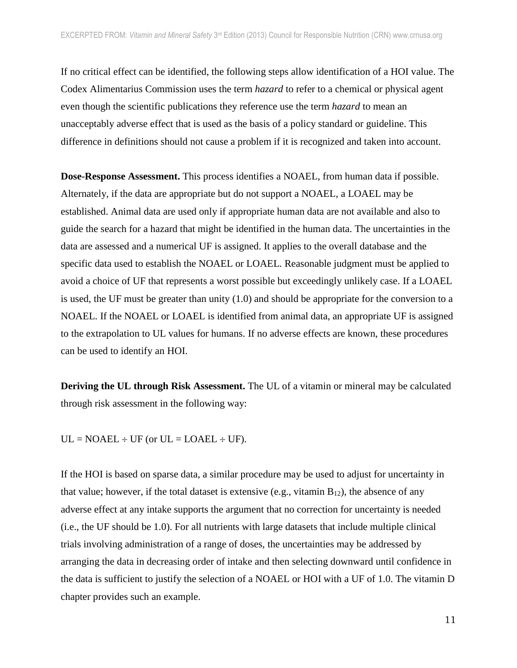If no critical effect can be identified, the following steps allow identification of a HOI value. The Codex Alimentarius Commission uses the term *hazard* to refer to a chemical or physical agent even though the scientific publications they reference use the term *hazard* to mean an unacceptably adverse effect that is used as the basis of a policy standard or guideline. This difference in definitions should not cause a problem if it is recognized and taken into account.

**Dose-Response Assessment.** This process identifies a NOAEL, from human data if possible. Alternately, if the data are appropriate but do not support a NOAEL, a LOAEL may be established. Animal data are used only if appropriate human data are not available and also to guide the search for a hazard that might be identified in the human data. The uncertainties in the data are assessed and a numerical UF is assigned. It applies to the overall database and the specific data used to establish the NOAEL or LOAEL. Reasonable judgment must be applied to avoid a choice of UF that represents a worst possible but exceedingly unlikely case. If a LOAEL is used, the UF must be greater than unity (1.0) and should be appropriate for the conversion to a NOAEL. If the NOAEL or LOAEL is identified from animal data, an appropriate UF is assigned to the extrapolation to UL values for humans. If no adverse effects are known, these procedures can be used to identify an HOI.

**Deriving the UL through Risk Assessment.** The UL of a vitamin or mineral may be calculated through risk assessment in the following way:

 $UL = NOAEL \div UF$  (or  $UL = LOAEL \div UF$ ).

If the HOI is based on sparse data, a similar procedure may be used to adjust for uncertainty in that value; however, if the total dataset is extensive (e.g., vitamin  $B_{12}$ ), the absence of any adverse effect at any intake supports the argument that no correction for uncertainty is needed (i.e., the UF should be 1.0). For all nutrients with large datasets that include multiple clinical trials involving administration of a range of doses, the uncertainties may be addressed by arranging the data in decreasing order of intake and then selecting downward until confidence in the data is sufficient to justify the selection of a NOAEL or HOI with a UF of 1.0. The vitamin D chapter provides such an example.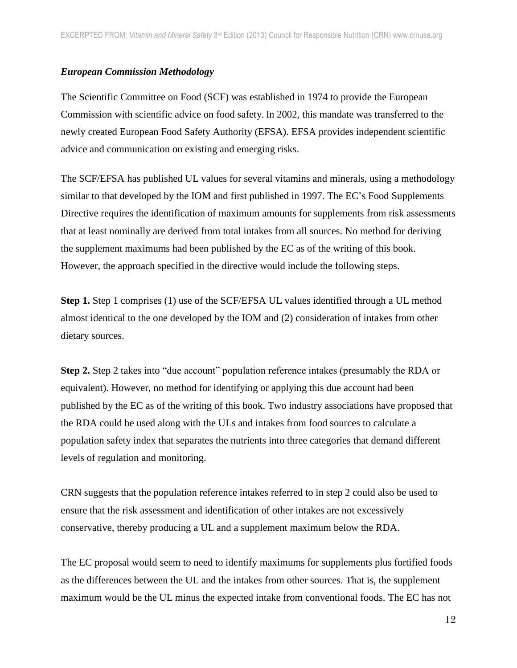## *European Commission Methodology*

The Scientific Committee on Food (SCF) was established in 1974 to provide the European Commission with scientific advice on food safety. In 2002, this mandate was transferred to the newly created European Food Safety Authority (EFSA). EFSA provides independent scientific advice and communication on existing and emerging risks.

The SCF/EFSA has published UL values for several vitamins and minerals, using a methodology similar to that developed by the IOM and first published in 1997. The EC's Food Supplements Directive requires the identification of maximum amounts for supplements from risk assessments that at least nominally are derived from total intakes from all sources. No method for deriving the supplement maximums had been published by the EC as of the writing of this book. However, the approach specified in the directive would include the following steps.

**Step 1.** Step 1 comprises (1) use of the SCF/EFSA UL values identified through a UL method almost identical to the one developed by the IOM and (2) consideration of intakes from other dietary sources.

**Step 2.** Step 2 takes into "due account" population reference intakes (presumably the RDA or equivalent). However, no method for identifying or applying this due account had been published by the EC as of the writing of this book. Two industry associations have proposed that the RDA could be used along with the ULs and intakes from food sources to calculate a population safety index that separates the nutrients into three categories that demand different levels of regulation and monitoring.

CRN suggests that the population reference intakes referred to in step 2 could also be used to ensure that the risk assessment and identification of other intakes are not excessively conservative, thereby producing a UL and a supplement maximum below the RDA.

The EC proposal would seem to need to identify maximums for supplements plus fortified foods as the differences between the UL and the intakes from other sources. That is, the supplement maximum would be the UL minus the expected intake from conventional foods. The EC has not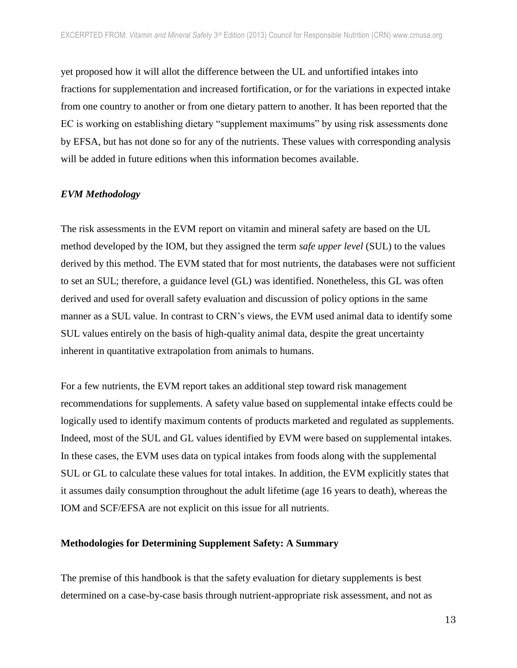yet proposed how it will allot the difference between the UL and unfortified intakes into fractions for supplementation and increased fortification, or for the variations in expected intake from one country to another or from one dietary pattern to another. It has been reported that the EC is working on establishing dietary "supplement maximums" by using risk assessments done by EFSA, but has not done so for any of the nutrients. These values with corresponding analysis will be added in future editions when this information becomes available.

#### *EVM Methodology*

The risk assessments in the EVM report on vitamin and mineral safety are based on the UL method developed by the IOM, but they assigned the term *safe upper level* (SUL) to the values derived by this method. The EVM stated that for most nutrients, the databases were not sufficient to set an SUL; therefore, a guidance level (GL) was identified. Nonetheless, this GL was often derived and used for overall safety evaluation and discussion of policy options in the same manner as a SUL value. In contrast to CRN's views, the EVM used animal data to identify some SUL values entirely on the basis of high-quality animal data, despite the great uncertainty inherent in quantitative extrapolation from animals to humans.

For a few nutrients, the EVM report takes an additional step toward risk management recommendations for supplements. A safety value based on supplemental intake effects could be logically used to identify maximum contents of products marketed and regulated as supplements. Indeed, most of the SUL and GL values identified by EVM were based on supplemental intakes. In these cases, the EVM uses data on typical intakes from foods along with the supplemental SUL or GL to calculate these values for total intakes. In addition, the EVM explicitly states that it assumes daily consumption throughout the adult lifetime (age 16 years to death), whereas the IOM and SCF/EFSA are not explicit on this issue for all nutrients.

#### **Methodologies for Determining Supplement Safety: A Summary**

The premise of this handbook is that the safety evaluation for dietary supplements is best determined on a case-by-case basis through nutrient-appropriate risk assessment, and not as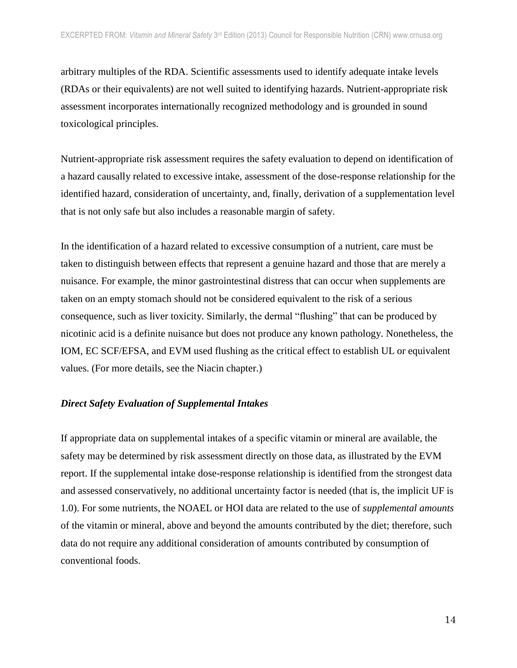arbitrary multiples of the RDA. Scientific assessments used to identify adequate intake levels (RDAs or their equivalents) are not well suited to identifying hazards. Nutrient-appropriate risk assessment incorporates internationally recognized methodology and is grounded in sound toxicological principles.

Nutrient-appropriate risk assessment requires the safety evaluation to depend on identification of a hazard causally related to excessive intake, assessment of the dose-response relationship for the identified hazard, consideration of uncertainty, and, finally, derivation of a supplementation level that is not only safe but also includes a reasonable margin of safety.

In the identification of a hazard related to excessive consumption of a nutrient, care must be taken to distinguish between effects that represent a genuine hazard and those that are merely a nuisance. For example, the minor gastrointestinal distress that can occur when supplements are taken on an empty stomach should not be considered equivalent to the risk of a serious consequence, such as liver toxicity. Similarly, the dermal "flushing" that can be produced by nicotinic acid is a definite nuisance but does not produce any known pathology. Nonetheless, the IOM, EC SCF/EFSA, and EVM used flushing as the critical effect to establish UL or equivalent values. (For more details, see the Niacin chapter.)

## *Direct Safety Evaluation of Supplemental Intakes*

If appropriate data on supplemental intakes of a specific vitamin or mineral are available, the safety may be determined by risk assessment directly on those data, as illustrated by the EVM report. If the supplemental intake dose-response relationship is identified from the strongest data and assessed conservatively, no additional uncertainty factor is needed (that is, the implicit UF is 1.0). For some nutrients, the NOAEL or HOI data are related to the use of *supplemental amounts* of the vitamin or mineral, above and beyond the amounts contributed by the diet; therefore, such data do not require any additional consideration of amounts contributed by consumption of conventional foods.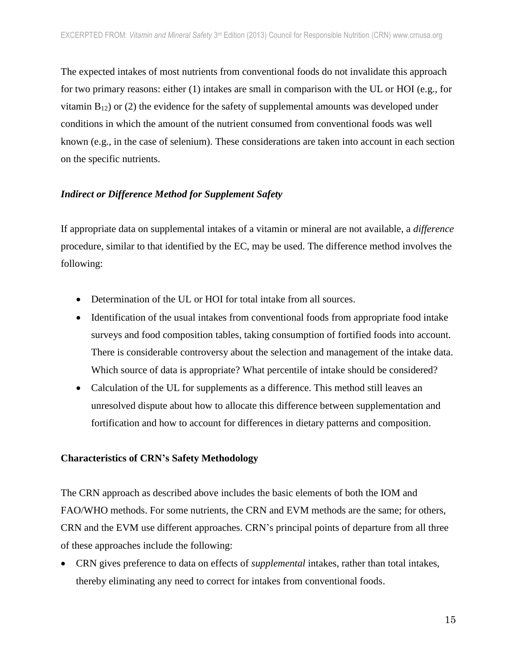The expected intakes of most nutrients from conventional foods do not invalidate this approach for two primary reasons: either (1) intakes are small in comparison with the UL or HOI (e.g., for vitamin  $B_{12}$ ) or (2) the evidence for the safety of supplemental amounts was developed under conditions in which the amount of the nutrient consumed from conventional foods was well known (e.g., in the case of selenium). These considerations are taken into account in each section on the specific nutrients.

## *Indirect or Difference Method for Supplement Safety*

If appropriate data on supplemental intakes of a vitamin or mineral are not available, a *difference* procedure, similar to that identified by the EC, may be used. The difference method involves the following:

- Determination of the UL or HOI for total intake from all sources.
- Identification of the usual intakes from conventional foods from appropriate food intake surveys and food composition tables, taking consumption of fortified foods into account. There is considerable controversy about the selection and management of the intake data. Which source of data is appropriate? What percentile of intake should be considered?
- Calculation of the UL for supplements as a difference. This method still leaves an unresolved dispute about how to allocate this difference between supplementation and fortification and how to account for differences in dietary patterns and composition.

## **Characteristics of CRN's Safety Methodology**

The CRN approach as described above includes the basic elements of both the IOM and FAO/WHO methods. For some nutrients, the CRN and EVM methods are the same; for others, CRN and the EVM use different approaches. CRN's principal points of departure from all three of these approaches include the following:

 CRN gives preference to data on effects of *supplemental* intakes, rather than total intakes, thereby eliminating any need to correct for intakes from conventional foods.